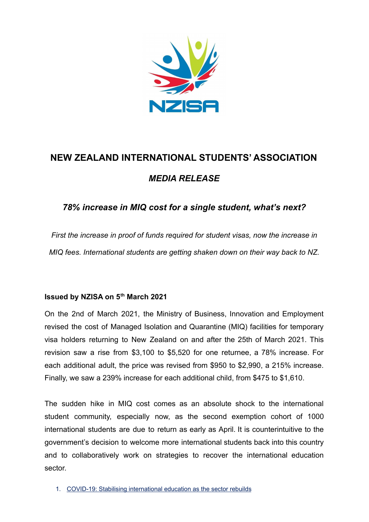

## **NEW ZEALAND INTERNATIONAL STUDENTS' ASSOCIATION** *MEDIA RELEASE*

## *78% increase in MIQ cost for a single student, what's next?*

*First the increase in proof of funds required for student visas, now the increase in MIQ fees. International students are getting shaken down on their way back to NZ.*

## **Issued by NZISA on 5th March 2021**

On the 2nd of March 2021, the Ministry of Business, Innovation and Employment revised the cost of Managed Isolation and Quarantine (MIQ) facilities for temporary visa holders returning to New Zealand on and after the 25th of March 2021. This revision saw a rise from \$3,100 to \$5,520 for one returnee, a 78% increase. For each additional adult, the price was revised from \$950 to \$2,990, a 215% increase. Finally, we saw a 239% increase for each additional child, from \$475 to \$1,610.

The sudden hike in MIQ cost comes as an absolute shock to the international student community, especially now, as the second exemption cohort of 1000 international students are due to return as early as April. It is counterintuitive to the government's decision to welcome more international students back into this country and to collaboratively work on strategies to recover the international education sector.

<sup>1.</sup> COVID-19: Stabilising [international](https://www.beehive.govt.nz/release/covid-19-stabilising-international-education-sector-rebuilds) education as the sector rebuilds